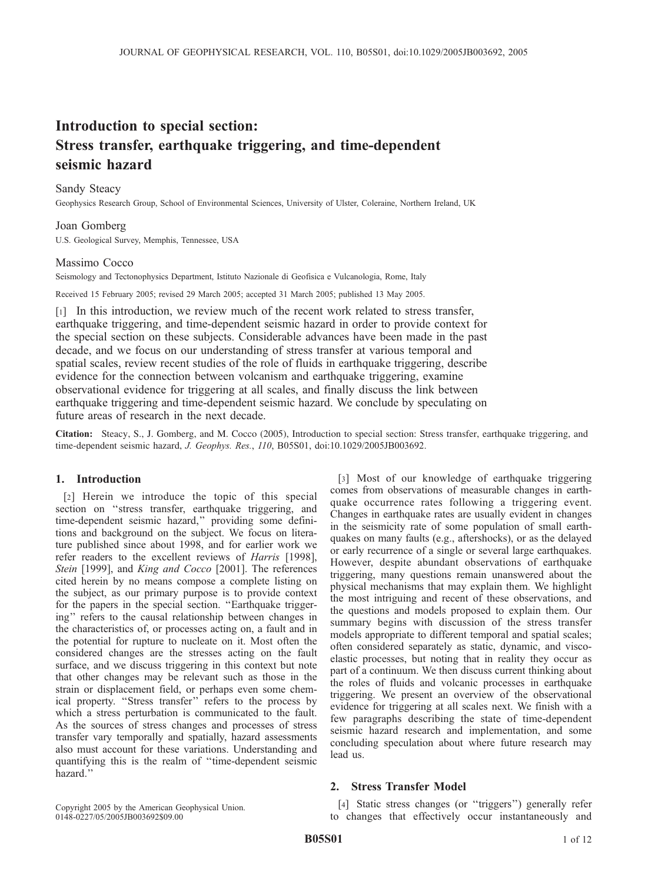# Introduction to special section: Stress transfer, earthquake triggering, and time-dependent seismic hazard

## Sandy Steacy

Geophysics Research Group, School of Environmental Sciences, University of Ulster, Coleraine, Northern Ireland, UK

#### Joan Gomberg

U.S. Geological Survey, Memphis, Tennessee, USA

#### Massimo Cocco

Seismology and Tectonophysics Department, Istituto Nazionale di Geofisica e Vulcanologia, Rome, Italy

Received 15 February 2005; revised 29 March 2005; accepted 31 March 2005; published 13 May 2005.

[1] In this introduction, we review much of the recent work related to stress transfer, earthquake triggering, and time-dependent seismic hazard in order to provide context for the special section on these subjects. Considerable advances have been made in the past decade, and we focus on our understanding of stress transfer at various temporal and spatial scales, review recent studies of the role of fluids in earthquake triggering, describe evidence for the connection between volcanism and earthquake triggering, examine observational evidence for triggering at all scales, and finally discuss the link between earthquake triggering and time-dependent seismic hazard. We conclude by speculating on future areas of research in the next decade.

Citation: Steacy, S., J. Gomberg, and M. Cocco (2005), Introduction to special section: Stress transfer, earthquake triggering, and time-dependent seismic hazard, J. Geophys. Res., 110, B05S01, doi:10.1029/2005JB003692.

#### 1. Introduction

[2] Herein we introduce the topic of this special section on ''stress transfer, earthquake triggering, and time-dependent seismic hazard,'' providing some definitions and background on the subject. We focus on literature published since about 1998, and for earlier work we refer readers to the excellent reviews of Harris [1998], Stein [1999], and King and Cocco [2001]. The references cited herein by no means compose a complete listing on the subject, as our primary purpose is to provide context for the papers in the special section. ''Earthquake triggering'' refers to the causal relationship between changes in the characteristics of, or processes acting on, a fault and in the potential for rupture to nucleate on it. Most often the considered changes are the stresses acting on the fault surface, and we discuss triggering in this context but note that other changes may be relevant such as those in the strain or displacement field, or perhaps even some chemical property. ''Stress transfer'' refers to the process by which a stress perturbation is communicated to the fault. As the sources of stress changes and processes of stress transfer vary temporally and spatially, hazard assessments also must account for these variations. Understanding and quantifying this is the realm of ''time-dependent seismic hazard.''

[3] Most of our knowledge of earthquake triggering comes from observations of measurable changes in earthquake occurrence rates following a triggering event. Changes in earthquake rates are usually evident in changes in the seismicity rate of some population of small earthquakes on many faults (e.g., aftershocks), or as the delayed or early recurrence of a single or several large earthquakes. However, despite abundant observations of earthquake triggering, many questions remain unanswered about the physical mechanisms that may explain them. We highlight the most intriguing and recent of these observations, and the questions and models proposed to explain them. Our summary begins with discussion of the stress transfer models appropriate to different temporal and spatial scales; often considered separately as static, dynamic, and viscoelastic processes, but noting that in reality they occur as part of a continuum. We then discuss current thinking about the roles of fluids and volcanic processes in earthquake triggering. We present an overview of the observational evidence for triggering at all scales next. We finish with a few paragraphs describing the state of time-dependent seismic hazard research and implementation, and some concluding speculation about where future research may lead us.

# 2. Stress Transfer Model

Copyright 2005 by the American Geophysical Union. 0148-0227/05/2005JB003692\$09.00

[4] Static stress changes (or ''triggers'') generally refer to changes that effectively occur instantaneously and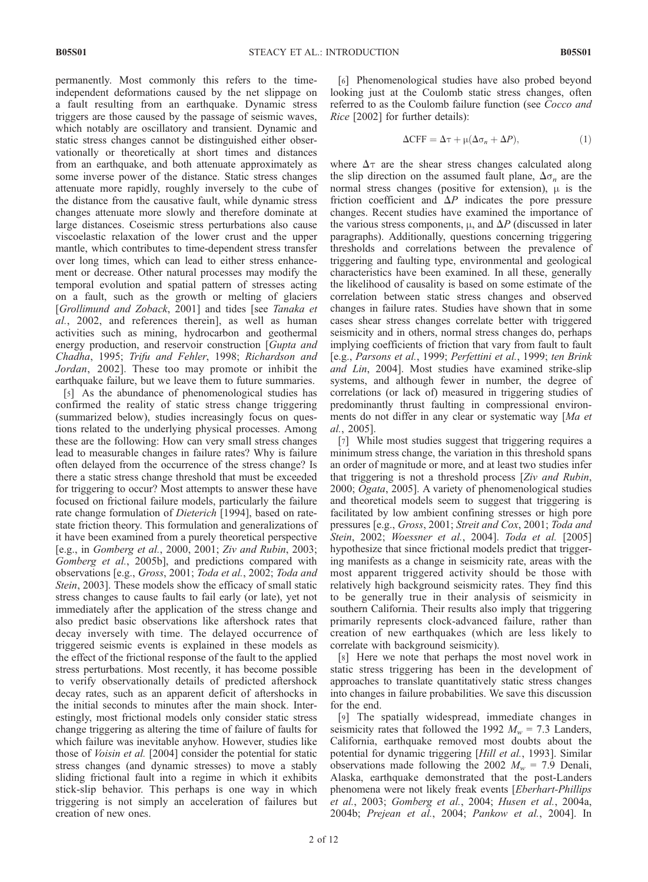permanently. Most commonly this refers to the timeindependent deformations caused by the net slippage on a fault resulting from an earthquake. Dynamic stress triggers are those caused by the passage of seismic waves, which notably are oscillatory and transient. Dynamic and static stress changes cannot be distinguished either observationally or theoretically at short times and distances from an earthquake, and both attenuate approximately as some inverse power of the distance. Static stress changes attenuate more rapidly, roughly inversely to the cube of the distance from the causative fault, while dynamic stress changes attenuate more slowly and therefore dominate at large distances. Coseismic stress perturbations also cause viscoelastic relaxation of the lower crust and the upper mantle, which contributes to time-dependent stress transfer over long times, which can lead to either stress enhancement or decrease. Other natural processes may modify the temporal evolution and spatial pattern of stresses acting on a fault, such as the growth or melting of glaciers [Grollimund and Zoback, 2001] and tides [see Tanaka et al., 2002, and references therein], as well as human activities such as mining, hydrocarbon and geothermal energy production, and reservoir construction [Gupta and Chadha, 1995; Trifu and Fehler, 1998; Richardson and Jordan, 2002]. These too may promote or inhibit the earthquake failure, but we leave them to future summaries.

[5] As the abundance of phenomenological studies has confirmed the reality of static stress change triggering (summarized below), studies increasingly focus on questions related to the underlying physical processes. Among these are the following: How can very small stress changes lead to measurable changes in failure rates? Why is failure often delayed from the occurrence of the stress change? Is there a static stress change threshold that must be exceeded for triggering to occur? Most attempts to answer these have focused on frictional failure models, particularly the failure rate change formulation of Dieterich [1994], based on ratestate friction theory. This formulation and generalizations of it have been examined from a purely theoretical perspective [e.g., in Gomberg et al., 2000, 2001; Ziv and Rubin, 2003; Gomberg et al., 2005b], and predictions compared with observations [e.g., Gross, 2001; Toda et al., 2002; Toda and Stein, 2003]. These models show the efficacy of small static stress changes to cause faults to fail early (or late), yet not immediately after the application of the stress change and also predict basic observations like aftershock rates that decay inversely with time. The delayed occurrence of triggered seismic events is explained in these models as the effect of the frictional response of the fault to the applied stress perturbations. Most recently, it has become possible to verify observationally details of predicted aftershock decay rates, such as an apparent deficit of aftershocks in the initial seconds to minutes after the main shock. Interestingly, most frictional models only consider static stress change triggering as altering the time of failure of faults for which failure was inevitable anyhow. However, studies like those of Voisin et al. [2004] consider the potential for static stress changes (and dynamic stresses) to move a stably sliding frictional fault into a regime in which it exhibits stick-slip behavior. This perhaps is one way in which triggering is not simply an acceleration of failures but creation of new ones.

[6] Phenomenological studies have also probed beyond looking just at the Coulomb static stress changes, often referred to as the Coulomb failure function (see Cocco and Rice [2002] for further details):

$$
\Delta CFF = \Delta \tau + \mu(\Delta \sigma_n + \Delta P), \tag{1}
$$

where  $\Delta \tau$  are the shear stress changes calculated along the slip direction on the assumed fault plane,  $\Delta \sigma_n$  are the normal stress changes (positive for extension),  $\mu$  is the friction coefficient and  $\Delta P$  indicates the pore pressure changes. Recent studies have examined the importance of the various stress components,  $\mu$ , and  $\Delta P$  (discussed in later paragraphs). Additionally, questions concerning triggering thresholds and correlations between the prevalence of triggering and faulting type, environmental and geological characteristics have been examined. In all these, generally the likelihood of causality is based on some estimate of the correlation between static stress changes and observed changes in failure rates. Studies have shown that in some cases shear stress changes correlate better with triggered seismicity and in others, normal stress changes do, perhaps implying coefficients of friction that vary from fault to fault [e.g., Parsons et al., 1999; Perfettini et al., 1999; ten Brink and Lin, 2004]. Most studies have examined strike-slip systems, and although fewer in number, the degree of correlations (or lack of) measured in triggering studies of predominantly thrust faulting in compressional environments do not differ in any clear or systematic way [Ma et al., 2005].

[7] While most studies suggest that triggering requires a minimum stress change, the variation in this threshold spans an order of magnitude or more, and at least two studies infer that triggering is not a threshold process [Ziv and Rubin, 2000; Ogata, 2005]. A variety of phenomenological studies and theoretical models seem to suggest that triggering is facilitated by low ambient confining stresses or high pore pressures [e.g., Gross, 2001; Streit and Cox, 2001; Toda and Stein, 2002; Woessner et al., 2004]. Toda et al. [2005] hypothesize that since frictional models predict that triggering manifests as a change in seismicity rate, areas with the most apparent triggered activity should be those with relatively high background seismicity rates. They find this to be generally true in their analysis of seismicity in southern California. Their results also imply that triggering primarily represents clock-advanced failure, rather than creation of new earthquakes (which are less likely to correlate with background seismicity).

[8] Here we note that perhaps the most novel work in static stress triggering has been in the development of approaches to translate quantitatively static stress changes into changes in failure probabilities. We save this discussion for the end.

[9] The spatially widespread, immediate changes in seismicity rates that followed the 1992  $M_w = 7.3$  Landers, California, earthquake removed most doubts about the potential for dynamic triggering [Hill et al., 1993]. Similar observations made following the 2002  $M_w = 7.9$  Denali, Alaska, earthquake demonstrated that the post-Landers phenomena were not likely freak events [Eberhart-Phillips et al., 2003; Gomberg et al., 2004; Husen et al., 2004a, 2004b; Prejean et al., 2004; Pankow et al., 2004]. In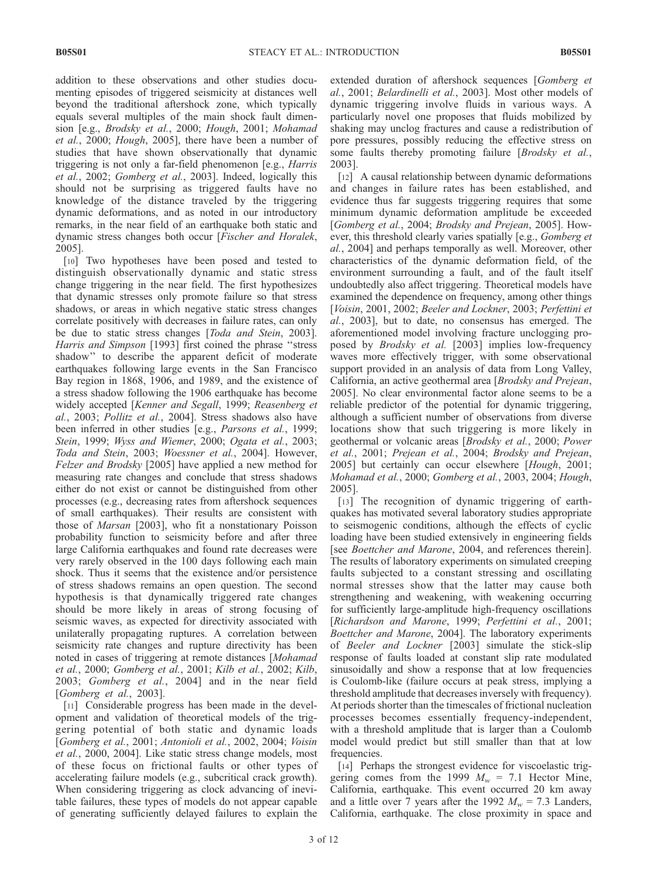addition to these observations and other studies documenting episodes of triggered seismicity at distances well beyond the traditional aftershock zone, which typically equals several multiples of the main shock fault dimension [e.g., Brodsky et al., 2000; Hough, 2001; Mohamad et al., 2000; Hough, 2005], there have been a number of studies that have shown observationally that dynamic triggering is not only a far-field phenomenon [e.g., Harris et al., 2002; Gomberg et al., 2003]. Indeed, logically this should not be surprising as triggered faults have no knowledge of the distance traveled by the triggering dynamic deformations, and as noted in our introductory remarks, in the near field of an earthquake both static and dynamic stress changes both occur [Fischer and Horalek, 2005].

[10] Two hypotheses have been posed and tested to distinguish observationally dynamic and static stress change triggering in the near field. The first hypothesizes that dynamic stresses only promote failure so that stress shadows, or areas in which negative static stress changes correlate positively with decreases in failure rates, can only be due to static stress changes [Toda and Stein, 2003]. Harris and Simpson [1993] first coined the phrase "stress shadow'' to describe the apparent deficit of moderate earthquakes following large events in the San Francisco Bay region in 1868, 1906, and 1989, and the existence of a stress shadow following the 1906 earthquake has become widely accepted [Kenner and Segall, 1999; Reasenberg et al., 2003; Pollitz et al., 2004]. Stress shadows also have been inferred in other studies [e.g., Parsons et al., 1999; Stein, 1999; Wyss and Wiemer, 2000; Ogata et al., 2003; Toda and Stein, 2003; Woessner et al., 2004]. However, Felzer and Brodsky [2005] have applied a new method for measuring rate changes and conclude that stress shadows either do not exist or cannot be distinguished from other processes (e.g., decreasing rates from aftershock sequences of small earthquakes). Their results are consistent with those of Marsan [2003], who fit a nonstationary Poisson probability function to seismicity before and after three large California earthquakes and found rate decreases were very rarely observed in the 100 days following each main shock. Thus it seems that the existence and/or persistence of stress shadows remains an open question. The second hypothesis is that dynamically triggered rate changes should be more likely in areas of strong focusing of seismic waves, as expected for directivity associated with unilaterally propagating ruptures. A correlation between seismicity rate changes and rupture directivity has been noted in cases of triggering at remote distances [Mohamad et al., 2000; Gomberg et al., 2001; Kilb et al., 2002; Kilb, 2003; Gomberg et al., 2004] and in the near field [Gomberg et al., 2003].

[11] Considerable progress has been made in the development and validation of theoretical models of the triggering potential of both static and dynamic loads [Gomberg et al., 2001; Antonioli et al., 2002, 2004; Voisin et al., 2000, 2004]. Like static stress change models, most of these focus on frictional faults or other types of accelerating failure models (e.g., subcritical crack growth). When considering triggering as clock advancing of inevitable failures, these types of models do not appear capable of generating sufficiently delayed failures to explain the

extended duration of aftershock sequences [Gomberg et al., 2001; Belardinelli et al., 2003]. Most other models of dynamic triggering involve fluids in various ways. A particularly novel one proposes that fluids mobilized by shaking may unclog fractures and cause a redistribution of pore pressures, possibly reducing the effective stress on some faults thereby promoting failure [*Brodsky et al.*, 2003].

[12] A causal relationship between dynamic deformations and changes in failure rates has been established, and evidence thus far suggests triggering requires that some minimum dynamic deformation amplitude be exceeded [Gomberg et al., 2004; Brodsky and Prejean, 2005]. However, this threshold clearly varies spatially [e.g., *Gomberg et* al., 2004] and perhaps temporally as well. Moreover, other characteristics of the dynamic deformation field, of the environment surrounding a fault, and of the fault itself undoubtedly also affect triggering. Theoretical models have examined the dependence on frequency, among other things [Voisin, 2001, 2002; Beeler and Lockner, 2003; Perfettini et al., 2003], but to date, no consensus has emerged. The aforementioned model involving fracture unclogging proposed by Brodsky et al. [2003] implies low-frequency waves more effectively trigger, with some observational support provided in an analysis of data from Long Valley, California, an active geothermal area [Brodsky and Prejean, 2005]. No clear environmental factor alone seems to be a reliable predictor of the potential for dynamic triggering, although a sufficient number of observations from diverse locations show that such triggering is more likely in geothermal or volcanic areas [Brodsky et al., 2000; Power et al., 2001; Prejean et al., 2004; Brodsky and Prejean, 2005] but certainly can occur elsewhere [Hough, 2001; Mohamad et al., 2000; Gomberg et al., 2003, 2004; Hough, 2005].

[13] The recognition of dynamic triggering of earthquakes has motivated several laboratory studies appropriate to seismogenic conditions, although the effects of cyclic loading have been studied extensively in engineering fields [see *Boettcher and Marone*, 2004, and references therein]. The results of laboratory experiments on simulated creeping faults subjected to a constant stressing and oscillating normal stresses show that the latter may cause both strengthening and weakening, with weakening occurring for sufficiently large-amplitude high-frequency oscillations [Richardson and Marone, 1999; Perfettini et al., 2001; Boettcher and Marone, 2004]. The laboratory experiments of Beeler and Lockner [2003] simulate the stick-slip response of faults loaded at constant slip rate modulated sinusoidally and show a response that at low frequencies is Coulomb-like (failure occurs at peak stress, implying a threshold amplitude that decreases inversely with frequency). At periods shorter than the timescales of frictional nucleation processes becomes essentially frequency-independent, with a threshold amplitude that is larger than a Coulomb model would predict but still smaller than that at low frequencies.

[14] Perhaps the strongest evidence for viscoelastic triggering comes from the 1999  $M_w = 7.1$  Hector Mine, California, earthquake. This event occurred 20 km away and a little over 7 years after the 1992  $M_w = 7.3$  Landers, California, earthquake. The close proximity in space and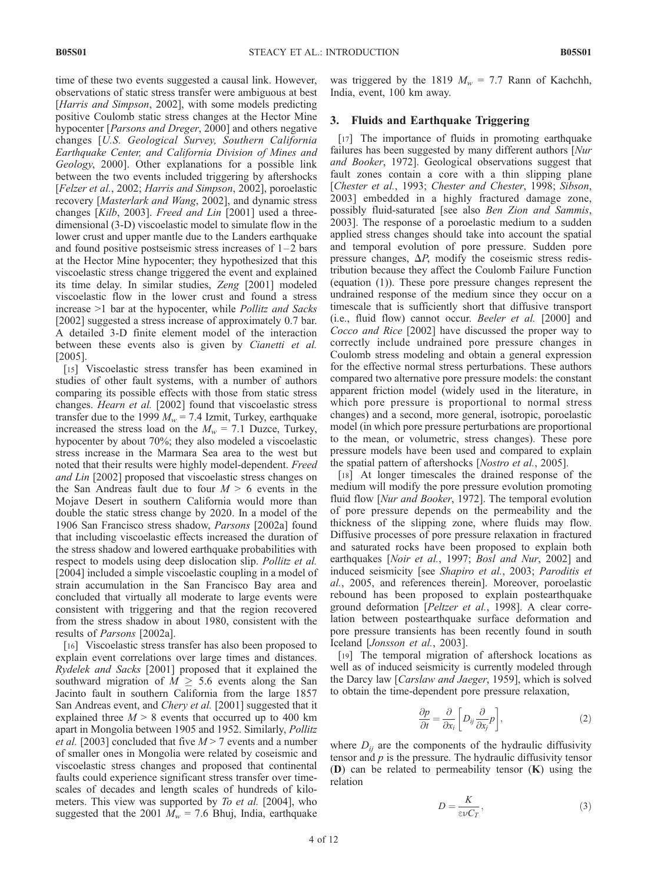time of these two events suggested a causal link. However, observations of static stress transfer were ambiguous at best [Harris and Simpson, 2002], with some models predicting positive Coulomb static stress changes at the Hector Mine hypocenter [*Parsons and Dreger*, 2000] and others negative changes [U.S. Geological Survey, Southern California Earthquake Center, and California Division of Mines and Geology, 2000]. Other explanations for a possible link between the two events included triggering by aftershocks [Felzer et al., 2002; Harris and Simpson, 2002], poroelastic recovery [Masterlark and Wang, 2002], and dynamic stress changes [Kilb, 2003]. Freed and Lin [2001] used a threedimensional (3-D) viscoelastic model to simulate flow in the lower crust and upper mantle due to the Landers earthquake and found positive postseismic stress increases of  $1-2$  bars at the Hector Mine hypocenter; they hypothesized that this viscoelastic stress change triggered the event and explained its time delay. In similar studies, Zeng [2001] modeled viscoelastic flow in the lower crust and found a stress increase >1 bar at the hypocenter, while Pollitz and Sacks [2002] suggested a stress increase of approximately 0.7 bar. A detailed 3-D finite element model of the interaction between these events also is given by Cianetti et al. [2005].

[15] Viscoelastic stress transfer has been examined in studies of other fault systems, with a number of authors comparing its possible effects with those from static stress changes. Hearn et al. [2002] found that viscoelastic stress transfer due to the 1999  $M_w = 7.4$  Izmit, Turkey, earthquake increased the stress load on the  $M_w = 7.1$  Duzce, Turkey, hypocenter by about 70%; they also modeled a viscoelastic stress increase in the Marmara Sea area to the west but noted that their results were highly model-dependent. Freed and Lin [2002] proposed that viscoelastic stress changes on the San Andreas fault due to four  $M > 6$  events in the Mojave Desert in southern California would more than double the static stress change by 2020. In a model of the 1906 San Francisco stress shadow, Parsons [2002a] found that including viscoelastic effects increased the duration of the stress shadow and lowered earthquake probabilities with respect to models using deep dislocation slip. Pollitz et al. [2004] included a simple viscoelastic coupling in a model of strain accumulation in the San Francisco Bay area and concluded that virtually all moderate to large events were consistent with triggering and that the region recovered from the stress shadow in about 1980, consistent with the results of Parsons [2002a].

[16] Viscoelastic stress transfer has also been proposed to explain event correlations over large times and distances. Rydelek and Sacks [2001] proposed that it explained the southward migration of  $M \geq 5.6$  events along the San Jacinto fault in southern California from the large 1857 San Andreas event, and *Chery et al.* [2001] suggested that it explained three  $M > 8$  events that occurred up to 400 km apart in Mongolia between 1905 and 1952. Similarly, Pollitz *et al.* [2003] concluded that five  $M > 7$  events and a number of smaller ones in Mongolia were related by coseismic and viscoelastic stress changes and proposed that continental faults could experience significant stress transfer over timescales of decades and length scales of hundreds of kilometers. This view was supported by To et al. [2004], who suggested that the 2001  $M_w = 7.6$  Bhuj, India, earthquake

was triggered by the 1819  $M_w = 7.7$  Rann of Kachchh, India, event, 100 km away.

## 3. Fluids and Earthquake Triggering

[17] The importance of fluids in promoting earthquake failures has been suggested by many different authors [Nur and Booker, 1972]. Geological observations suggest that fault zones contain a core with a thin slipping plane [Chester et al., 1993; Chester and Chester, 1998; Sibson, 2003] embedded in a highly fractured damage zone, possibly fluid-saturated [see also Ben Zion and Sammis, 2003]. The response of a poroelastic medium to a sudden applied stress changes should take into account the spatial and temporal evolution of pore pressure. Sudden pore pressure changes,  $\Delta P$ , modify the coseismic stress redistribution because they affect the Coulomb Failure Function (equation (1)). These pore pressure changes represent the undrained response of the medium since they occur on a timescale that is sufficiently short that diffusive transport (i.e., fluid flow) cannot occur. Beeler et al. [2000] and Cocco and Rice [2002] have discussed the proper way to correctly include undrained pore pressure changes in Coulomb stress modeling and obtain a general expression for the effective normal stress perturbations. These authors compared two alternative pore pressure models: the constant apparent friction model (widely used in the literature, in which pore pressure is proportional to normal stress changes) and a second, more general, isotropic, poroelastic model (in which pore pressure perturbations are proportional to the mean, or volumetric, stress changes). These pore pressure models have been used and compared to explain the spatial pattern of aftershocks [*Nostro et al.*, 2005].

[18] At longer timescales the drained response of the medium will modify the pore pressure evolution promoting fluid flow [Nur and Booker, 1972]. The temporal evolution of pore pressure depends on the permeability and the thickness of the slipping zone, where fluids may flow. Diffusive processes of pore pressure relaxation in fractured and saturated rocks have been proposed to explain both earthquakes [Noir et al., 1997; Bosl and Nur, 2002] and induced seismicity [see Shapiro et al., 2003; Paroditis et al., 2005, and references therein]. Moreover, poroelastic rebound has been proposed to explain postearthquake ground deformation [Peltzer et al., 1998]. A clear correlation between postearthquake surface deformation and pore pressure transients has been recently found in south Iceland [Jonsson et al., 2003].

[19] The temporal migration of aftershock locations as well as of induced seismicity is currently modeled through the Darcy law [Carslaw and Jaeger, 1959], which is solved to obtain the time-dependent pore pressure relaxation,

$$
\frac{\partial p}{\partial t} = \frac{\partial}{\partial x_i} \left[ D_{ij} \frac{\partial}{\partial x_j} p \right],\tag{2}
$$

where  $D_{ii}$  are the components of the hydraulic diffusivity tensor and  $p$  is the pressure. The hydraulic diffusivity tensor (D) can be related to permeability tensor (K) using the relation

$$
D = \frac{K}{\varepsilon \nu C_T},\tag{3}
$$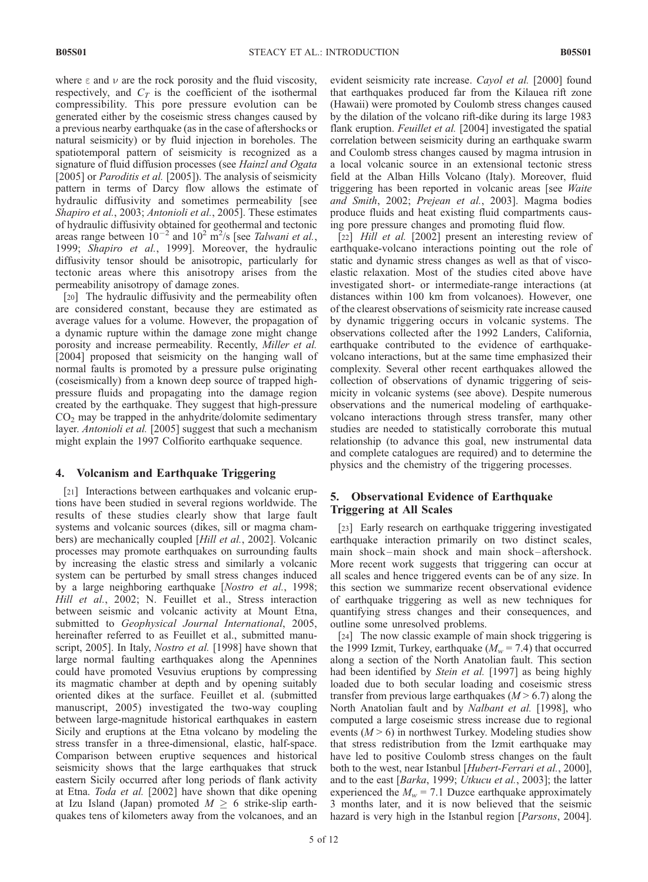where  $\epsilon$  and  $\nu$  are the rock porosity and the fluid viscosity, respectively, and  $C_T$  is the coefficient of the isothermal compressibility. This pore pressure evolution can be generated either by the coseismic stress changes caused by a previous nearby earthquake (as in the case of aftershocks or natural seismicity) or by fluid injection in boreholes. The spatiotemporal pattern of seismicity is recognized as a signature of fluid diffusion processes (see Hainzl and Ogata [2005] or *Paroditis et al.* [2005]). The analysis of seismicity pattern in terms of Darcy flow allows the estimate of hydraulic diffusivity and sometimes permeability [see Shapiro et al., 2003; Antonioli et al., 2005]. These estimates of hydraulic diffusivity obtained for geothermal and tectonic areas range between  $10^{-2}$  and  $10^2$  m<sup>2</sup>/s [see *Talwani et al.*, 1999; Shapiro et al., 1999]. Moreover, the hydraulic diffusivity tensor should be anisotropic, particularly for tectonic areas where this anisotropy arises from the permeability anisotropy of damage zones.

[20] The hydraulic diffusivity and the permeability often are considered constant, because they are estimated as average values for a volume. However, the propagation of a dynamic rupture within the damage zone might change porosity and increase permeability. Recently, Miller et al. [2004] proposed that seismicity on the hanging wall of normal faults is promoted by a pressure pulse originating (coseismically) from a known deep source of trapped highpressure fluids and propagating into the damage region created by the earthquake. They suggest that high-pressure  $CO<sub>2</sub>$  may be trapped in the anhydrite/dolomite sedimentary layer. Antonioli et al. [2005] suggest that such a mechanism might explain the 1997 Colfiorito earthquake sequence.

#### 4. Volcanism and Earthquake Triggering

[21] Interactions between earthquakes and volcanic eruptions have been studied in several regions worldwide. The results of these studies clearly show that large fault systems and volcanic sources (dikes, sill or magma chambers) are mechanically coupled [Hill et al., 2002]. Volcanic processes may promote earthquakes on surrounding faults by increasing the elastic stress and similarly a volcanic system can be perturbed by small stress changes induced by a large neighboring earthquake [Nostro et al., 1998; Hill et al., 2002; N. Feuillet et al., Stress interaction between seismic and volcanic activity at Mount Etna, submitted to Geophysical Journal International, 2005, hereinafter referred to as Feuillet et al., submitted manuscript, 2005]. In Italy, Nostro et al. [1998] have shown that large normal faulting earthquakes along the Apennines could have promoted Vesuvius eruptions by compressing its magmatic chamber at depth and by opening suitably oriented dikes at the surface. Feuillet et al. (submitted manuscript, 2005) investigated the two-way coupling between large-magnitude historical earthquakes in eastern Sicily and eruptions at the Etna volcano by modeling the stress transfer in a three-dimensional, elastic, half-space. Comparison between eruptive sequences and historical seismicity shows that the large earthquakes that struck eastern Sicily occurred after long periods of flank activity at Etna. Toda et al. [2002] have shown that dike opening at Izu Island (Japan) promoted  $M \geq 6$  strike-slip earthquakes tens of kilometers away from the volcanoes, and an

evident seismicity rate increase. Cayol et al. [2000] found that earthquakes produced far from the Kilauea rift zone (Hawaii) were promoted by Coulomb stress changes caused by the dilation of the volcano rift-dike during its large 1983 flank eruption. Feuillet et al. [2004] investigated the spatial correlation between seismicity during an earthquake swarm and Coulomb stress changes caused by magma intrusion in a local volcanic source in an extensional tectonic stress field at the Alban Hills Volcano (Italy). Moreover, fluid triggering has been reported in volcanic areas [see Waite and Smith, 2002; Prejean et al., 2003]. Magma bodies produce fluids and heat existing fluid compartments causing pore pressure changes and promoting fluid flow.

[22] *Hill et al.* [2002] present an interesting review of earthquake-volcano interactions pointing out the role of static and dynamic stress changes as well as that of viscoelastic relaxation. Most of the studies cited above have investigated short- or intermediate-range interactions (at distances within 100 km from volcanoes). However, one of the clearest observations of seismicity rate increase caused by dynamic triggering occurs in volcanic systems. The observations collected after the 1992 Landers, California, earthquake contributed to the evidence of earthquakevolcano interactions, but at the same time emphasized their complexity. Several other recent earthquakes allowed the collection of observations of dynamic triggering of seismicity in volcanic systems (see above). Despite numerous observations and the numerical modeling of earthquakevolcano interactions through stress transfer, many other studies are needed to statistically corroborate this mutual relationship (to advance this goal, new instrumental data and complete catalogues are required) and to determine the physics and the chemistry of the triggering processes.

## 5. Observational Evidence of Earthquake Triggering at All Scales

[23] Early research on earthquake triggering investigated earthquake interaction primarily on two distinct scales, main shock –main shock and main shock –aftershock. More recent work suggests that triggering can occur at all scales and hence triggered events can be of any size. In this section we summarize recent observational evidence of earthquake triggering as well as new techniques for quantifying stress changes and their consequences, and outline some unresolved problems.

[24] The now classic example of main shock triggering is the 1999 Izmit, Turkey, earthquake ( $M_w = 7.4$ ) that occurred along a section of the North Anatolian fault. This section had been identified by *Stein et al.* [1997] as being highly loaded due to both secular loading and coseismic stress transfer from previous large earthquakes  $(M > 6.7)$  along the North Anatolian fault and by Nalbant et al. [1998], who computed a large coseismic stress increase due to regional events  $(M > 6)$  in northwest Turkey. Modeling studies show that stress redistribution from the Izmit earthquake may have led to positive Coulomb stress changes on the fault both to the west, near Istanbul [Hubert-Ferrari et al., 2000], and to the east [Barka, 1999; Utkucu et al., 2003]; the latter experienced the  $M_w = 7.1$  Duzce earthquake approximately 3 months later, and it is now believed that the seismic hazard is very high in the Istanbul region [*Parsons*, 2004].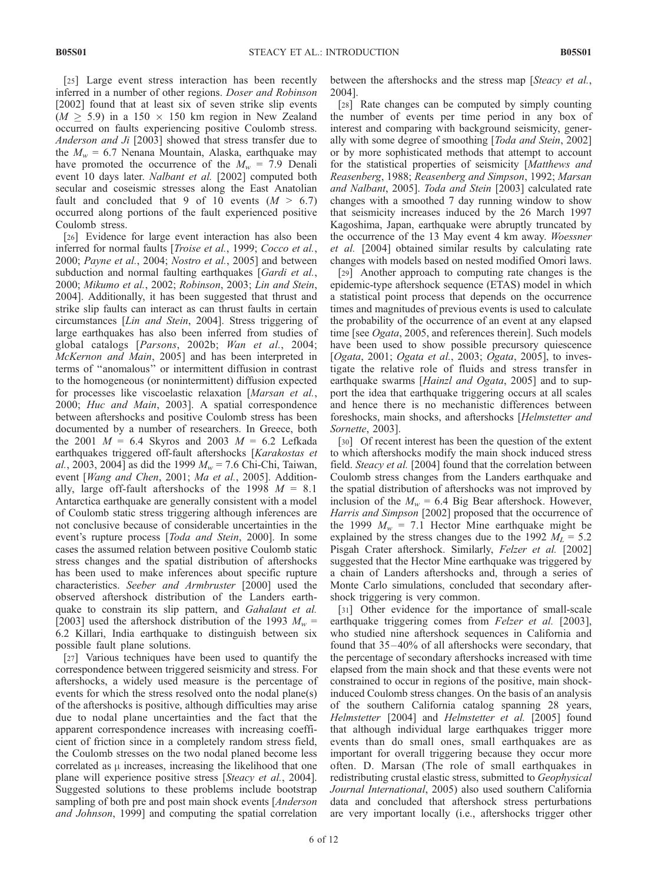[25] Large event stress interaction has been recently inferred in a number of other regions. Doser and Robinson [2002] found that at least six of seven strike slip events  $(M \geq 5.9)$  in a 150  $\times$  150 km region in New Zealand occurred on faults experiencing positive Coulomb stress. Anderson and Ji [2003] showed that stress transfer due to the  $M_w = 6.7$  Nenana Mountain, Alaska, earthquake may have promoted the occurrence of the  $M_w = 7.9$  Denali event 10 days later. Nalbant et al. [2002] computed both secular and coseismic stresses along the East Anatolian fault and concluded that 9 of 10 events  $(M > 6.7)$ occurred along portions of the fault experienced positive Coulomb stress.

[26] Evidence for large event interaction has also been inferred for normal faults [Troise et al., 1999; Cocco et al., 2000; Payne et al., 2004; Nostro et al., 2005] and between subduction and normal faulting earthquakes [*Gardi et al.*, 2000; Mikumo et al., 2002; Robinson, 2003; Lin and Stein, 2004]. Additionally, it has been suggested that thrust and strike slip faults can interact as can thrust faults in certain circumstances [Lin and Stein, 2004]. Stress triggering of large earthquakes has also been inferred from studies of global catalogs [Parsons, 2002b; Wan et al., 2004; McKernon and Main, 2005] and has been interpreted in terms of ''anomalous'' or intermittent diffusion in contrast to the homogeneous (or nonintermittent) diffusion expected for processes like viscoelastic relaxation [Marsan et al., 2000; Huc and Main, 2003]. A spatial correspondence between aftershocks and positive Coulomb stress has been documented by a number of researchers. In Greece, both the 2001  $M = 6.4$  Skyros and 2003  $M = 6.2$  Lefkada earthquakes triggered off-fault aftershocks [Karakostas et *al.*, 2003, 2004] as did the 1999  $M_w = 7.6$  Chi-Chi, Taiwan, event [Wang and Chen, 2001; Ma et al., 2005]. Additionally, large off-fault aftershocks of the 1998  $M = 8.1$ Antarctica earthquake are generally consistent with a model of Coulomb static stress triggering although inferences are not conclusive because of considerable uncertainties in the event's rupture process [Toda and Stein, 2000]. In some cases the assumed relation between positive Coulomb static stress changes and the spatial distribution of aftershocks has been used to make inferences about specific rupture characteristics. Seeber and Armbruster [2000] used the observed aftershock distribution of the Landers earthquake to constrain its slip pattern, and Gahalaut et al. [2003] used the aftershock distribution of the 1993  $M_w$  = 6.2 Killari, India earthquake to distinguish between six possible fault plane solutions.

[27] Various techniques have been used to quantify the correspondence between triggered seismicity and stress. For aftershocks, a widely used measure is the percentage of events for which the stress resolved onto the nodal plane(s) of the aftershocks is positive, although difficulties may arise due to nodal plane uncertainties and the fact that the apparent correspondence increases with increasing coefficient of friction since in a completely random stress field, the Coulomb stresses on the two nodal planed become less correlated as  $\mu$  increases, increasing the likelihood that one plane will experience positive stress [Steacy et al., 2004]. Suggested solutions to these problems include bootstrap sampling of both pre and post main shock events [*Anderson* and Johnson, 1999] and computing the spatial correlation

between the aftershocks and the stress map [Steacy et al., 2004].

[28] Rate changes can be computed by simply counting the number of events per time period in any box of interest and comparing with background seismicity, generally with some degree of smoothing [Toda and Stein, 2002] or by more sophisticated methods that attempt to account for the statistical properties of seismicity [Matthews and Reasenberg, 1988; Reasenberg and Simpson, 1992; Marsan and Nalbant, 2005]. Toda and Stein [2003] calculated rate changes with a smoothed 7 day running window to show that seismicity increases induced by the 26 March 1997 Kagoshima, Japan, earthquake were abruptly truncated by the occurrence of the 13 May event 4 km away. Woessner et al. [2004] obtained similar results by calculating rate changes with models based on nested modified Omori laws.

[29] Another approach to computing rate changes is the epidemic-type aftershock sequence (ETAS) model in which a statistical point process that depends on the occurrence times and magnitudes of previous events is used to calculate the probability of the occurrence of an event at any elapsed time [see Ogata, 2005, and references therein]. Such models have been used to show possible precursory quiescence [Ogata, 2001; Ogata et al., 2003; Ogata, 2005], to investigate the relative role of fluids and stress transfer in earthquake swarms [Hainzl and Ogata, 2005] and to support the idea that earthquake triggering occurs at all scales and hence there is no mechanistic differences between foreshocks, main shocks, and aftershocks [Helmstetter and Sornette, 2003].

[30] Of recent interest has been the question of the extent to which aftershocks modify the main shock induced stress field. Steacy et al. [2004] found that the correlation between Coulomb stress changes from the Landers earthquake and the spatial distribution of aftershocks was not improved by inclusion of the  $M_w = 6.4$  Big Bear aftershock. However, Harris and Simpson [2002] proposed that the occurrence of the 1999  $M_w = 7.1$  Hector Mine earthquake might be explained by the stress changes due to the 1992  $M_L = 5.2$ Pisgah Crater aftershock. Similarly, Felzer et al. [2002] suggested that the Hector Mine earthquake was triggered by a chain of Landers aftershocks and, through a series of Monte Carlo simulations, concluded that secondary aftershock triggering is very common.

[31] Other evidence for the importance of small-scale earthquake triggering comes from Felzer et al. [2003], who studied nine aftershock sequences in California and found that 35– 40% of all aftershocks were secondary, that the percentage of secondary aftershocks increased with time elapsed from the main shock and that these events were not constrained to occur in regions of the positive, main shockinduced Coulomb stress changes. On the basis of an analysis of the southern California catalog spanning 28 years, Helmstetter [2004] and Helmstetter et al. [2005] found that although individual large earthquakes trigger more events than do small ones, small earthquakes are as important for overall triggering because they occur more often. D. Marsan (The role of small earthquakes in redistributing crustal elastic stress, submitted to Geophysical Journal International, 2005) also used southern California data and concluded that aftershock stress perturbations are very important locally (i.e., aftershocks trigger other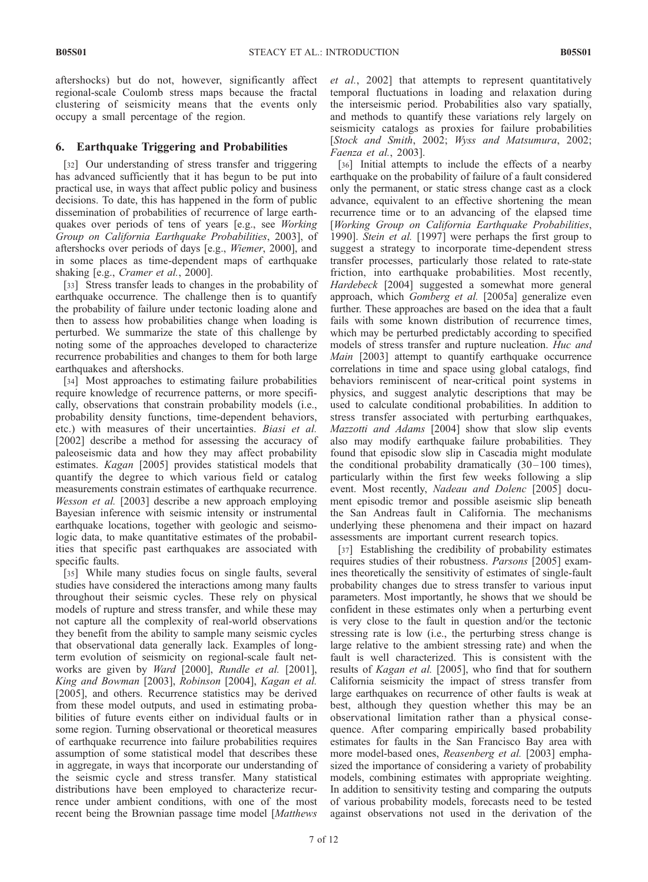aftershocks) but do not, however, significantly affect regional-scale Coulomb stress maps because the fractal clustering of seismicity means that the events only occupy a small percentage of the region.

## 6. Earthquake Triggering and Probabilities

[32] Our understanding of stress transfer and triggering has advanced sufficiently that it has begun to be put into practical use, in ways that affect public policy and business decisions. To date, this has happened in the form of public dissemination of probabilities of recurrence of large earthquakes over periods of tens of years [e.g., see Working Group on California Earthquake Probabilities, 2003], of aftershocks over periods of days [e.g., Wiemer, 2000], and in some places as time-dependent maps of earthquake shaking [e.g., *Cramer et al.*, 2000].

[33] Stress transfer leads to changes in the probability of earthquake occurrence. The challenge then is to quantify the probability of failure under tectonic loading alone and then to assess how probabilities change when loading is perturbed. We summarize the state of this challenge by noting some of the approaches developed to characterize recurrence probabilities and changes to them for both large earthquakes and aftershocks.

[34] Most approaches to estimating failure probabilities require knowledge of recurrence patterns, or more specifically, observations that constrain probability models (i.e., probability density functions, time-dependent behaviors, etc.) with measures of their uncertainties. Biasi et al. [2002] describe a method for assessing the accuracy of paleoseismic data and how they may affect probability estimates. Kagan [2005] provides statistical models that quantify the degree to which various field or catalog measurements constrain estimates of earthquake recurrence. Wesson et al. [2003] describe a new approach employing Bayesian inference with seismic intensity or instrumental earthquake locations, together with geologic and seismologic data, to make quantitative estimates of the probabilities that specific past earthquakes are associated with specific faults.

[35] While many studies focus on single faults, several studies have considered the interactions among many faults throughout their seismic cycles. These rely on physical models of rupture and stress transfer, and while these may not capture all the complexity of real-world observations they benefit from the ability to sample many seismic cycles that observational data generally lack. Examples of longterm evolution of seismicity on regional-scale fault networks are given by Ward [2000], Rundle et al. [2001], King and Bowman [2003], Robinson [2004], Kagan et al. [2005], and others. Recurrence statistics may be derived from these model outputs, and used in estimating probabilities of future events either on individual faults or in some region. Turning observational or theoretical measures of earthquake recurrence into failure probabilities requires assumption of some statistical model that describes these in aggregate, in ways that incorporate our understanding of the seismic cycle and stress transfer. Many statistical distributions have been employed to characterize recurrence under ambient conditions, with one of the most recent being the Brownian passage time model [Matthews

et al., 2002] that attempts to represent quantitatively temporal fluctuations in loading and relaxation during the interseismic period. Probabilities also vary spatially, and methods to quantify these variations rely largely on seismicity catalogs as proxies for failure probabilities [Stock and Smith, 2002; Wyss and Matsumura, 2002; Faenza et al., 2003].

[36] Initial attempts to include the effects of a nearby earthquake on the probability of failure of a fault considered only the permanent, or static stress change cast as a clock advance, equivalent to an effective shortening the mean recurrence time or to an advancing of the elapsed time [Working Group on California Earthquake Probabilities, 1990]. Stein et al. [1997] were perhaps the first group to suggest a strategy to incorporate time-dependent stress transfer processes, particularly those related to rate-state friction, into earthquake probabilities. Most recently, Hardebeck [2004] suggested a somewhat more general approach, which Gomberg et al. [2005a] generalize even further. These approaches are based on the idea that a fault fails with some known distribution of recurrence times, which may be perturbed predictably according to specified models of stress transfer and rupture nucleation. Huc and Main [2003] attempt to quantify earthquake occurrence correlations in time and space using global catalogs, find behaviors reminiscent of near-critical point systems in physics, and suggest analytic descriptions that may be used to calculate conditional probabilities. In addition to stress transfer associated with perturbing earthquakes, Mazzotti and Adams [2004] show that slow slip events also may modify earthquake failure probabilities. They found that episodic slow slip in Cascadia might modulate the conditional probability dramatically  $(30-100$  times), particularly within the first few weeks following a slip event. Most recently, Nadeau and Dolenc [2005] document episodic tremor and possible aseismic slip beneath the San Andreas fault in California. The mechanisms underlying these phenomena and their impact on hazard assessments are important current research topics.

[37] Establishing the credibility of probability estimates requires studies of their robustness. Parsons [2005] examines theoretically the sensitivity of estimates of single-fault probability changes due to stress transfer to various input parameters. Most importantly, he shows that we should be confident in these estimates only when a perturbing event is very close to the fault in question and/or the tectonic stressing rate is low (i.e., the perturbing stress change is large relative to the ambient stressing rate) and when the fault is well characterized. This is consistent with the results of Kagan et al. [2005], who find that for southern California seismicity the impact of stress transfer from large earthquakes on recurrence of other faults is weak at best, although they question whether this may be an observational limitation rather than a physical consequence. After comparing empirically based probability estimates for faults in the San Francisco Bay area with more model-based ones, Reasenberg et al. [2003] emphasized the importance of considering a variety of probability models, combining estimates with appropriate weighting. In addition to sensitivity testing and comparing the outputs of various probability models, forecasts need to be tested against observations not used in the derivation of the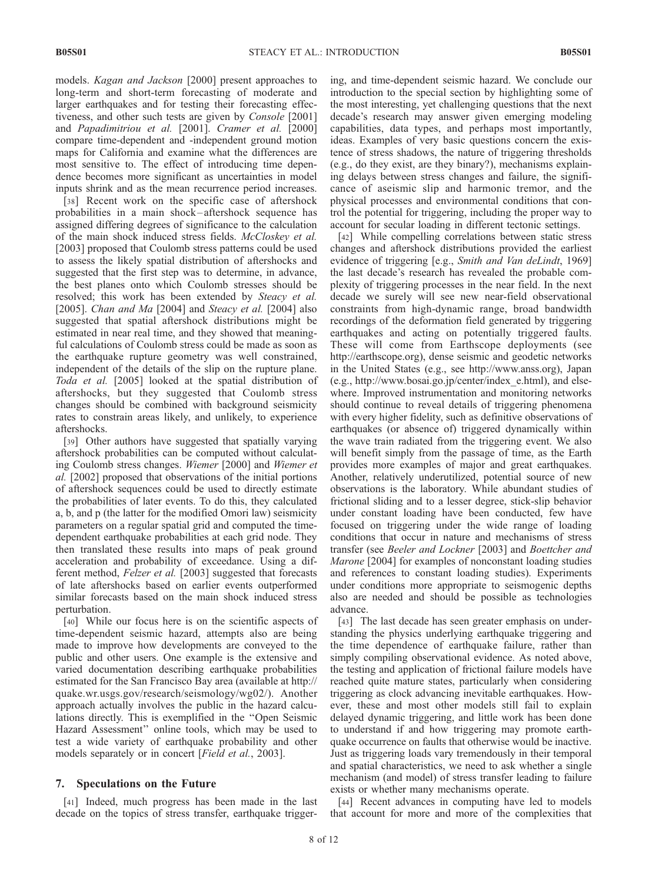models. Kagan and Jackson [2000] present approaches to long-term and short-term forecasting of moderate and larger earthquakes and for testing their forecasting effectiveness, and other such tests are given by Console [2001] and Papadimitriou et al. [2001]. Cramer et al. [2000] compare time-dependent and -independent ground motion maps for California and examine what the differences are most sensitive to. The effect of introducing time dependence becomes more significant as uncertainties in model inputs shrink and as the mean recurrence period increases.

[38] Recent work on the specific case of aftershock probabilities in a main shock – aftershock sequence has assigned differing degrees of significance to the calculation of the main shock induced stress fields. McCloskey et al. [2003] proposed that Coulomb stress patterns could be used to assess the likely spatial distribution of aftershocks and suggested that the first step was to determine, in advance, the best planes onto which Coulomb stresses should be resolved; this work has been extended by Steacy et al. [2005]. *Chan and Ma* [2004] and *Steacy et al.* [2004] also suggested that spatial aftershock distributions might be estimated in near real time, and they showed that meaningful calculations of Coulomb stress could be made as soon as the earthquake rupture geometry was well constrained, independent of the details of the slip on the rupture plane. Toda et al. [2005] looked at the spatial distribution of aftershocks, but they suggested that Coulomb stress changes should be combined with background seismicity rates to constrain areas likely, and unlikely, to experience aftershocks.

[39] Other authors have suggested that spatially varying aftershock probabilities can be computed without calculating Coulomb stress changes. Wiemer [2000] and Wiemer et al. [2002] proposed that observations of the initial portions of aftershock sequences could be used to directly estimate the probabilities of later events. To do this, they calculated a, b, and p (the latter for the modified Omori law) seismicity parameters on a regular spatial grid and computed the timedependent earthquake probabilities at each grid node. They then translated these results into maps of peak ground acceleration and probability of exceedance. Using a different method, Felzer et al. [2003] suggested that forecasts of late aftershocks based on earlier events outperformed similar forecasts based on the main shock induced stress perturbation.

[40] While our focus here is on the scientific aspects of time-dependent seismic hazard, attempts also are being made to improve how developments are conveyed to the public and other users. One example is the extensive and varied documentation describing earthquake probabilities estimated for the San Francisco Bay area (available at http:// quake.wr.usgs.gov/research/seismology/wg02/). Another approach actually involves the public in the hazard calculations directly. This is exemplified in the ''Open Seismic Hazard Assessment'' online tools, which may be used to test a wide variety of earthquake probability and other models separately or in concert [Field et al., 2003].

#### 7. Speculations on the Future

[41] Indeed, much progress has been made in the last decade on the topics of stress transfer, earthquake triggering, and time-dependent seismic hazard. We conclude our introduction to the special section by highlighting some of the most interesting, yet challenging questions that the next decade's research may answer given emerging modeling capabilities, data types, and perhaps most importantly, ideas. Examples of very basic questions concern the existence of stress shadows, the nature of triggering thresholds (e.g., do they exist, are they binary?), mechanisms explaining delays between stress changes and failure, the significance of aseismic slip and harmonic tremor, and the physical processes and environmental conditions that control the potential for triggering, including the proper way to account for secular loading in different tectonic settings.

[42] While compelling correlations between static stress changes and aftershock distributions provided the earliest evidence of triggering [e.g., Smith and Van deLindt, 1969] the last decade's research has revealed the probable complexity of triggering processes in the near field. In the next decade we surely will see new near-field observational constraints from high-dynamic range, broad bandwidth recordings of the deformation field generated by triggering earthquakes and acting on potentially triggered faults. These will come from Earthscope deployments (see http://earthscope.org), dense seismic and geodetic networks in the United States (e.g., see http://www.anss.org), Japan (e.g., http://www.bosai.go.jp/center/index\_e.html), and elsewhere. Improved instrumentation and monitoring networks should continue to reveal details of triggering phenomena with every higher fidelity, such as definitive observations of earthquakes (or absence of) triggered dynamically within the wave train radiated from the triggering event. We also will benefit simply from the passage of time, as the Earth provides more examples of major and great earthquakes. Another, relatively underutilized, potential source of new observations is the laboratory. While abundant studies of frictional sliding and to a lesser degree, stick-slip behavior under constant loading have been conducted, few have focused on triggering under the wide range of loading conditions that occur in nature and mechanisms of stress transfer (see Beeler and Lockner [2003] and Boettcher and Marone [2004] for examples of nonconstant loading studies and references to constant loading studies). Experiments under conditions more appropriate to seismogenic depths also are needed and should be possible as technologies advance.

[43] The last decade has seen greater emphasis on understanding the physics underlying earthquake triggering and the time dependence of earthquake failure, rather than simply compiling observational evidence. As noted above, the testing and application of frictional failure models have reached quite mature states, particularly when considering triggering as clock advancing inevitable earthquakes. However, these and most other models still fail to explain delayed dynamic triggering, and little work has been done to understand if and how triggering may promote earthquake occurrence on faults that otherwise would be inactive. Just as triggering loads vary tremendously in their temporal and spatial characteristics, we need to ask whether a single mechanism (and model) of stress transfer leading to failure exists or whether many mechanisms operate.

[44] Recent advances in computing have led to models that account for more and more of the complexities that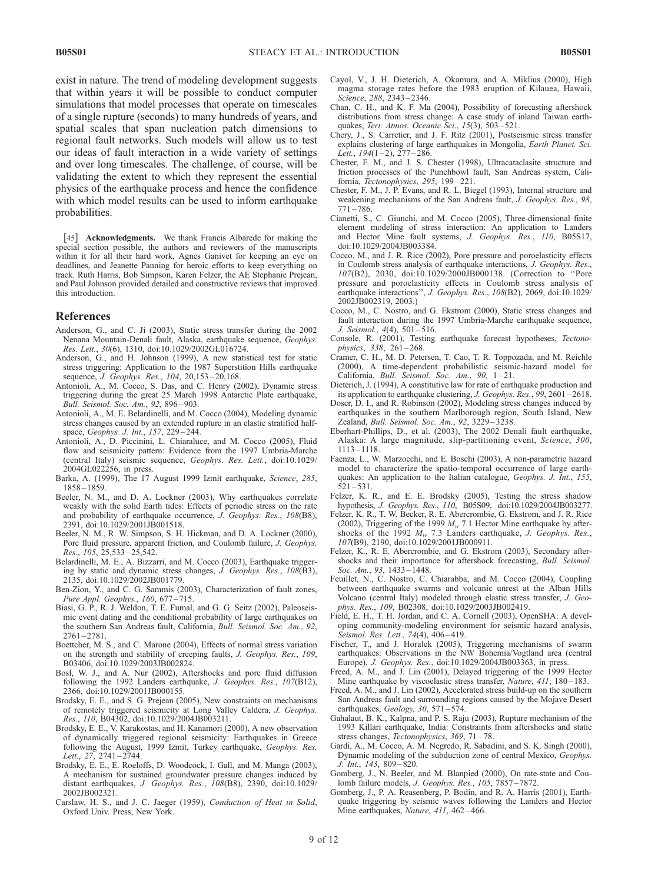exist in nature. The trend of modeling development suggests that within years it will be possible to conduct computer simulations that model processes that operate on timescales of a single rupture (seconds) to many hundreds of years, and spatial scales that span nucleation patch dimensions to regional fault networks. Such models will allow us to test our ideas of fault interaction in a wide variety of settings and over long timescales. The challenge, of course, will be validating the extent to which they represent the essential physics of the earthquake process and hence the confidence with which model results can be used to inform earthquake probabilities.

[45] **Acknowledgments.** We thank Francis Albarede for making the special section possible, the authors and reviewers of the manuscripts within it for all their hard work, Agnes Ganivet for keeping an eye on deadlines, and Jeanette Panning for heroic efforts to keep everything on track. Ruth Harris, Bob Simpson, Karen Felzer, the AE Stephanie Prejean, and Paul Johnson provided detailed and constructive reviews that improved this introduction.

#### References

- Anderson, G., and C. Ji (2003), Static stress transfer during the 2002 Nenana Mountain-Denali fault, Alaska, earthquake sequence, Geophys. Res. Lett., 30(6), 1310, doi:10.1029/2002GL016724.
- Anderson, G., and H. Johnson (1999), A new statistical test for static stress triggering: Application to the 1987 Superstition Hills earthquake sequence, *J. Geophys. Res.*, 104, 20,153-20,168.
- Antonioli, A., M. Cocco, S. Das, and C. Henry (2002), Dynamic stress triggering during the great 25 March 1998 Antarctic Plate earthquake, Bull. Seismol. Soc. Am., 92, 896 – 903.
- Antonioli, A., M. E. Belardinelli, and M. Cocco (2004), Modeling dynamic stress changes caused by an extended rupture in an elastic stratified halfspace, Geophys. J. Int., 157, 229-244.
- Antonioli, A., D. Piccinini, L. Chiaraluce, and M. Cocco (2005), Fluid flow and seismicity pattern: Evidence from the 1997 Umbria-Marche (central Italy) seismic sequence, Geophys. Res. Lett., doi:10.1029/ 2004GL022256, in press.
- Barka, A. (1999), The 17 August 1999 Izmit earthquake, Science, 285, 1858 – 1859.
- Beeler, N. M., and D. A. Lockner (2003), Why earthquakes correlate weakly with the solid Earth tides: Effects of periodic stress on the rate and probability of earthquake occurrence, J. Geophys. Res., 108(B8), 2391, doi:10.1029/2001JB001518.
- Beeler, N. M., R. W. Simpson, S. H. Hickman, and D. A. Lockner (2000), Pore fluid pressure, apparent friction, and Coulomb failure, J. Geophys. Res., 105, 25,533 – 25,542.
- Belardinelli, M. E., A. Bizzarri, and M. Cocco (2003), Earthquake triggering by static and dynamic stress changes, J. Geophys. Res., 108(B3), 2135, doi:10.1029/2002JB001779.
- Ben-Zion, Y., and C. G. Sammis (2003), Characterization of fault zones, Pure Appl. Geophys., 160, 677-715.
- Biasi, G. P., R. J. Weldon, T. E. Fumal, and G. G. Seitz (2002), Paleoseismic event dating and the conditional probability of large earthquakes on the southern San Andreas fault, California, Bull. Seismol. Soc. Am., 92,  $2761 - 2781.$
- Boettcher, M. S., and C. Marone (2004), Effects of normal stress variation on the strength and stability of creeping faults, J. Geophys. Res., 109, B03406, doi:10.1029/2003JB002824.
- Bosl, W. J., and A. Nur (2002), Aftershocks and pore fluid diffusion following the 1992 Landers earthquake, J. Geophys. Res., 107(B12), 2366, doi:10.1029/2001JB000155.
- Brodsky, E. E., and S. G. Prejean (2005), New constraints on mechanisms of remotely triggered seismicity at Long Valley Caldera, J. Geophys. Res., 110, B04302, doi:10.1029/2004JB003211.
- Brodsky, E. E., V. Karakostas, and H. Kanamori (2000), A new observation of dynamically triggered regional seismicity: Earthquakes in Greece following the August, 1999 Izmit, Turkey earthquake, Geophys. Res. Lett., 27, 2741-2744.
- Brodsky, E. E., E. Roeloffs, D. Woodcock, I. Gall, and M. Manga (2003), A mechanism for sustained groundwater pressure changes induced by distant earthquakes, J. Geophys. Res., 108(B8), 2390, doi:10.1029/ 2002JB002321.
- Carslaw, H. S., and J. C. Jaeger (1959), Conduction of Heat in Solid, Oxford Univ. Press, New York.
- Cayol, V., J. H. Dieterich, A. Okamura, and A. Miklius (2000), High magma storage rates before the 1983 eruption of Kilauea, Hawaii, Science, 288, 2343-2346.
- Chan, C. H., and K. F. Ma (2004), Possibility of forecasting aftershock distributions from stress change: A case study of inland Taiwan earthquakes, Terr. Atmos. Oceanic Sci., 15(3), 503 – 521.
- Chery, J., S. Carretier, and J. F. Ritz (2001), Postseismic stress transfer explains clustering of large earthquakes in Mongolia, Earth Planet. Sci. Lett.,  $194(1-2)$ ,  $277-286$ .
- Chester, F. M., and J. S. Chester (1998), Ultracataclasite structure and friction processes of the Punchbowl fault, San Andreas system, California, Tectonophysics, 295, 199-221.
- Chester, F. M., J. P. Evans, and R. L. Biegel (1993), Internal structure and weakening mechanisms of the San Andreas fault, J. Geophys. Res., 98,  $771 - 786.$
- Cianetti, S., C. Giunchi, and M. Cocco (2005), Three-dimensional finite element modeling of stress interaction: An application to Landers and Hector Mine fault systems, J. Geophys. Res., 110, B05S17, doi:10.1029/2004JB003384.
- Cocco, M., and J. R. Rice (2002), Pore pressure and poroelasticity effects in Coulomb stress analysis of earthquake interactions, J. Geophys. Res., 107(B2), 2030, doi:10.1029/2000JB000138. (Correction to ''Pore pressure and poroelasticity effects in Coulomb stress analysis of earthquake interactions'', J. Geophys. Res., 108(B2), 2069, doi:10.1029/ 2002JB002319, 2003.)
- Cocco, M., C. Nostro, and G. Ekstrom (2000), Static stress changes and fault interaction during the 1997 Umbria-Marche earthquake sequence, J. Seismol., 4(4), 501 – 516.
- Console, R. (2001), Testing earthquake forecast hypotheses, Tectonophysics, 338, 261 – 268.
- Cramer, C. H., M. D. Petersen, T. Cao, T. R. Toppozada, and M. Reichle (2000), A time-dependent probabilistic seismic-hazard model for California, Bull. Seismol. Soc. Am., 90, 1-21.
- Dieterich, J. (1994), A constitutive law for rate of earthquake production and its application to earthquake clustering, J. Geophys. Res., 99, 2601 – 2618.
- Doser, D. I., and R. Robinson (2002), Modeling stress changes induced by earthquakes in the southern Marlborough region, South Island, New Zealand, Bull. Seismol. Soc. Am., 92, 3229 – 3238.
- Eberhart-Phillips, D., et al. (2003), The 2002 Denali fault earthquake, Alaska: A large magnitude, slip-partitioning event, Science, 300, 1113 – 1118.
- Faenza, L., W. Marzocchi, and E. Boschi (2003), A non-parametric hazard model to characterize the spatio-temporal occurrence of large earthquakes: An application to the Italian catalogue, Geophys. J. Int., 155,  $521 - 531$ .
- Felzer, K. R., and E. E. Brodsky (2005), Testing the stress shadow hypothesis, J. Geophys. Res., *110*, B05S09, doi:10.1029/2004JB003277.
- Felzer, K. R., T. W. Becker, R. E. Abercrombie, G. Ekstrom, and J. R. Rice (2002), Triggering of the 1999  $M_w$  7.1 Hector Mine earthquake by aftershocks of the 1992  $M_w$  7.3 Landers earthquake, J. Geophys. Res., 107(B9), 2190, doi:10.1029/2001JB000911.
- Felzer, K., R. E. Abercrombie, and G. Ekstrom (2003), Secondary aftershocks and their importance for aftershock forecasting, Bull. Seismol. Soc. Am., 93, 1433-1448.
- Feuillet, N., C. Nostro, C. Chiarabba, and M. Cocco (2004), Coupling between earthquake swarms and volcanic unrest at the Alban Hills Volcano (central Italy) modeled through elastic stress transfer, J. Geophys. Res., 109, B02308, doi:10.1029/2003JB002419.
- Field, E. H., T. H. Jordan, and C. A. Cornell (2003), OpenSHA: A developing community-modeling environment for seismic hazard analysis, Seismol. Res. Lett., 74(4), 406-419.
- Fischer, T., and J. Horalek (2005), Triggering mechanisms of swarm earthquakes: Observations in the NW Bohemia/Vogtland area (central Europe), J. Geophys. Res., doi:10.1029/2004JB003363, in press.
- Freed, A. M., and J. Lin (2001), Delayed triggering of the 1999 Hector Mine earthquake by viscoelastic stress transfer, Nature, 411, 180-183.
- Freed, A. M., and J. Lin (2002), Accelerated stress build-up on the southern San Andreas fault and surrounding regions caused by the Mojave Desert earthquakes,  $Geology$ , 30, 571-574.
- Gahalaut, B. K., Kalpna, and P. S. Raju (2003), Rupture mechanism of the 1993 Killari earthquake, India: Constraints from aftershocks and static stress changes, Tectonophysics, 369, 71-78.
- Gardi, A., M. Cocco, A. M. Negredo, R. Sabadini, and S. K. Singh (2000), Dynamic modeling of the subduction zone of central Mexico, Geophys. J. Int., 143, 809 – 820.
- Gomberg, J., N. Beeler, and M. Blanpied (2000), On rate-state and Coulomb failure models, *J. Geophys. Res.*, 105, 7857–7872.
- Gomberg, J., P. A. Reasenberg, P. Bodin, and R. A. Harris (2001), Earthquake triggering by seismic waves following the Landers and Hector Mine earthquakes, Nature, 411, 462-466.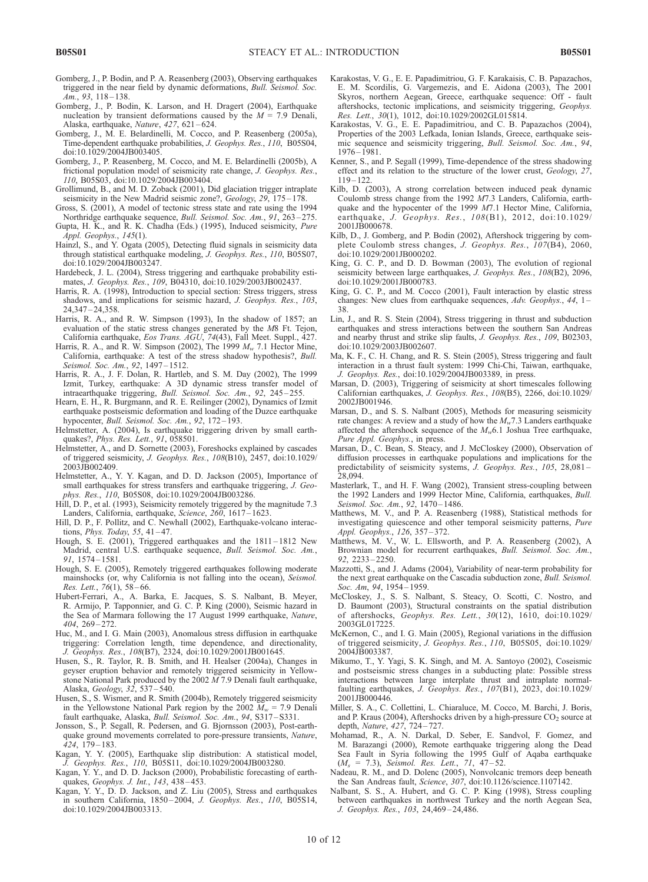- Gomberg, J., P. Bodin, and P. A. Reasenberg (2003), Observing earthquakes triggered in the near field by dynamic deformations, Bull. Seismol. Soc. Am., 93, 118-138.
- Gomberg, J., P. Bodin, K. Larson, and H. Dragert (2004), Earthquake nucleation by transient deformations caused by the  $M = 7.9$  Denali, Alaska, earthquake, Nature, 427, 621-624.
- Gomberg, J., M. E. Belardinelli, M. Cocco, and P. Reasenberg (2005a), Time-dependent earthquake probabilities, J. Geophys. Res., *110*, B05S04, doi:10.1029/2004JB003405.
- Gomberg, J., P. Reasenberg, M. Cocco, and M. E. Belardinelli (2005b), A frictional population model of seismicity rate change, J. Geophys. Res., 110, B05S03, doi:10.1029/2004JB003404.
- Grollimund, B., and M. D. Zoback (2001), Did glaciation trigger intraplate seismicity in the New Madrid seismic zone?, Geology, 29, 175-178.
- Gross, S. (2001), A model of tectonic stress state and rate using the 1994 Northridge earthquake sequence, Bull. Seismol. Soc. Am., 91, 263-275.
- Gupta, H. K., and R. K. Chadha (Eds.) (1995), Induced seismicity, Pure Appl. Geophys., 145(1).
- Hainzl, S., and Y. Ogata (2005), Detecting fluid signals in seismicity data through statistical earthquake modeling, J. Geophys. Res., 110, B05S07, doi:10.1029/2004JB003247.
- Hardebeck, J. L. (2004), Stress triggering and earthquake probability estimates, J. Geophys. Res., 109, B04310, doi:10.1029/2003JB002437.
- Harris, R. A. (1998), Introduction to special section: Stress triggers, stress shadows, and implications for seismic hazard, J. Geophys. Res., 103, 24,347 – 24,358.
- Harris, R. A., and R. W. Simpson (1993), In the shadow of 1857; an evaluation of the static stress changes generated by the M8 Ft. Tejon, California earthquake, Eos Trans. AGU, 74(43), Fall Meet. Suppl., 427.
- Harris, R. A., and R. W. Simpson (2002), The 1999  $M_w$  7.1 Hector Mine, California, earthquake: A test of the stress shadow hypothesis?, Bull. Seismol. Soc. Am., 92, 1497-1512.
- Harris, R. A., J. F. Dolan, R. Hartleb, and S. M. Day (2002), The 1999 Izmit, Turkey, earthquake: A 3D dynamic stress transfer model of intraearthquake triggering, Bull. Seismol. Soc. Am., 92, 245-255.
- Hearn, E. H., R. Burgmann, and R. E. Reilinger (2002), Dynamics of Izmit earthquake postseismic deformation and loading of the Duzce earthquake hypocenter, Bull. Seismol. Soc. Am., 92, 172-193.
- Helmstetter, A. (2004), Is earthquake triggering driven by small earthquakes?, Phys. Res. Lett., 91, 058501.
- Helmstetter, A., and D. Sornette (2003), Foreshocks explained by cascades of triggered seismicity, J. Geophys. Res., 108(B10), 2457, doi:10.1029/ 2003JB002409.
- Helmstetter, A., Y. Y. Kagan, and D. D. Jackson (2005), Importance of small earthquakes for stress transfers and earthquake triggering, J. Geophys. Res., 110, B05S08, doi:10.1029/2004JB003286.
- Hill, D. P., et al. (1993), Seismicity remotely triggered by the magnitude 7.3 Landers, California, earthquake, Science, 260, 1617-1623.
- Hill, D. P., F. Pollitz, and C. Newhall (2002), Earthquake-volcano interactions, Phys. Today, 55,  $41-47$ .
- Hough, S. E. (2001), Triggered earthquakes and the 1811 1812 New Madrid, central U.S. earthquake sequence, Bull. Seismol. Soc. Am., 91, 1574 – 1581.
- Hough, S. E. (2005), Remotely triggered earthquakes following moderate mainshocks (or, why California is not falling into the ocean), Seismol. Res. Lett., 76(1), 58 – 66.
- Hubert-Ferrari, A., A. Barka, E. Jacques, S. S. Nalbant, B. Meyer, R. Armijo, P. Tapponnier, and G. C. P. King (2000), Seismic hazard in the Sea of Marmara following the 17 August 1999 earthquake, Nature, 404, 269 – 272.
- Huc, M., and I. G. Main (2003), Anomalous stress diffusion in earthquake triggering: Correlation length, time dependence, and directionality, J. Geophys. Res., 108(B7), 2324, doi:10.1029/2001JB001645.
- Husen, S., R. Taylor, R. B. Smith, and H. Healser (2004a), Changes in geyser eruption behavior and remotely triggered seismicity in Yellowstone National Park produced by the 2002  $\widetilde{M}$  7.9 Denali fault earthquake, Alaska, Geology, 32, 537 – 540.
- Husen, S., S. Wismer, and R. Smith (2004b), Remotely triggered seismicity in the Yellowstone National Park region by the 2002  $M_w = 7.9$  Denali fault earthquake, Alaska, Bull. Seismol. Soc. Am., 94, S317 – S331.
- Jonsson, S., P. Segall, R. Pedersen, and G. Bjornsson (2003), Post-earthquake ground movements correlated to pore-pressure transients, Nature, 424, 179 – 183.
- Kagan, Y. Y. (2005), Earthquake slip distribution: A statistical model, J. Geophys. Res., 110, B05S11, doi:10.1029/2004JB003280.
- Kagan, Y. Y., and D. D. Jackson (2000), Probabilistic forecasting of earthquakes, Geophys. J. Int., 143, 438 – 453.
- Kagan, Y. Y., D. D. Jackson, and Z. Liu (2005), Stress and earthquakes in southern California, 1850 – 2004, J. Geophys. Res., 110, B05S14, doi:10.1029/2004JB003313.
- Karakostas, V. G., E. E. Papadimitriou, G. F. Karakaisis, C. B. Papazachos, E. M. Scordilis, G. Vargemezis, and E. Aidona (2003), The 2001 Skyros, northern Aegean, Greece, earthquake sequence: Off - fault aftershocks, tectonic implications, and seismicity triggering, Geophys. Res. Lett., 30(1), 1012, doi:10.1029/2002GL015814.
- Karakostas, V. G., E. E. Papadimitriou, and C. B. Papazachos (2004), Properties of the 2003 Lefkada, Ionian Islands, Greece, earthquake seismic sequence and seismicity triggering, Bull. Seismol. Soc. Am., 94,  $1976 - 1981.$
- Kenner, S., and P. Segall (1999), Time-dependence of the stress shadowing effect and its relation to the structure of the lower crust, Geology, 27,  $119 - 122.$
- Kilb, D. (2003), A strong correlation between induced peak dynamic Coulomb stress change from the 1992 M7.3 Landers, California, earthquake and the hypocenter of the 1999 M7.1 Hector Mine, California, earthquake, J. Geophys. Res., 108(B1), 2012, doi:10.1029/ 2001JB000678.
- Kilb, D., J. Gomberg, and P. Bodin (2002), Aftershock triggering by complete Coulomb stress changes, J. Geophys. Res., 107(B4), 2060, doi:10.1029/2001JB000202.
- King, G. C. P., and D. D. Bowman (2003), The evolution of regional seismicity between large earthquakes, J. Geophys. Res., 108(B2), 2096, doi:10.1029/2001JB000783.
- King, G. C. P., and M. Cocco (2001), Fault interaction by elastic stress changes: New clues from earthquake sequences, Adv. Geophys., 44, 1– 38.
- Lin, J., and R. S. Stein (2004), Stress triggering in thrust and subduction earthquakes and stress interactions between the southern San Andreas and nearby thrust and strike slip faults, J. Geophys. Res., 109, B02303, doi:10.1029/2003JB002607.
- Ma, K. F., C. H. Chang, and R. S. Stein (2005), Stress triggering and fault interaction in a thrust fault system: 1999 Chi-Chi, Taiwan, earthquake, J. Geophys. Res., doi:10.1029/2004JB003389, in press.
- Marsan, D. (2003), Triggering of seismicity at short timescales following Californian earthquakes, J. Geophys. Res., 108(B5), 2266, doi:10.1029/ 2002JB001946.
- Marsan, D., and S. S. Nalbant (2005), Methods for measuring seismicity rate changes: A review and a study of how the  $M_w$ 7.3 Landers earthquake affected the aftershock sequence of the  $M_w$ 6.1 Joshua Tree earthquake, Pure Appl. Geophys., in press.
- Marsan, D., C. Bean, S. Steacy, and J. McCloskey (2000), Observation of diffusion processes in earthquake populations and implications for the predictability of seismicity systems, J. Geophys. Res., 105, 28,081-28,094.
- Masterlark, T., and H. F. Wang (2002), Transient stress-coupling between the 1992 Landers and 1999 Hector Mine, California, earthquakes, Bull. Seismol. Soc. Am., 92, 1470-1486.
- Matthews, M. V., and P. A. Reasenberg (1988), Statistical methods for investigating quiescence and other temporal seismicity patterns, Pure Appl. Geophys., 126, 357 – 372.
- Matthews, M. V., W. L. Ellsworth, and P. A. Reasenberg (2002), A Brownian model for recurrent earthquakes, Bull. Seismol. Soc. Am., 92, 2233 – 2250.
- Mazzotti, S., and J. Adams (2004), Variability of near-term probability for the next great earthquake on the Cascadia subduction zone, Bull. Seismol. Soc. Am, 94, 1954-1959.
- McCloskey, J., S. S. Nalbant, S. Steacy, O. Scotti, C. Nostro, and D. Baumont (2003), Structural constraints on the spatial distribution of aftershocks, Geophys. Res. Lett., 30(12), 1610, doi:10.1029/ 2003GL017225.
- McKernon, C., and I. G. Main (2005), Regional variations in the diffusion of triggered seismicity, J. Geophys. Res., *110*, B05S05, doi:10.1029/ 2004JB003387.
- Mikumo, T., Y. Yagi, S. K. Singh, and M. A. Santoyo (2002), Coseismic and postseismic stress changes in a subducting plate: Possible stress interactions between large interplate thrust and intraplate normalfaulting earthquakes, J. Geophys. Res., 107(B1), 2023, doi:10.1029/ 2001JB000446.
- Miller, S. A., C. Collettini, L. Chiaraluce, M. Cocco, M. Barchi, J. Boris, and P. Kraus (2004), Aftershocks driven by a high-pressure  $CO<sub>2</sub>$  source at depth, Nature, 427, 724-727.
- Mohamad, R., A. N. Darkal, D. Seber, E. Sandvol, F. Gomez, and M. Barazangi (2000), Remote earthquake triggering along the Dead Sea Fault in Syria following the 1995 Gulf of Aqaba earthquake  $(M_s = 7.3)$ , Seismol. Res. Lett., 71, 47-52.
- Nadeau, R. M., and D. Dolenc (2005), Nonvolcanic tremors deep beneath the San Andreas fault, Science, 307, doi:10.1126/science.1107142.
- Nalbant, S. S., A. Hubert, and G. C. P. King (1998), Stress coupling between earthquakes in northwest Turkey and the north Aegean Sea, J. Geophys. Res., 103, 24,469 – 24,486.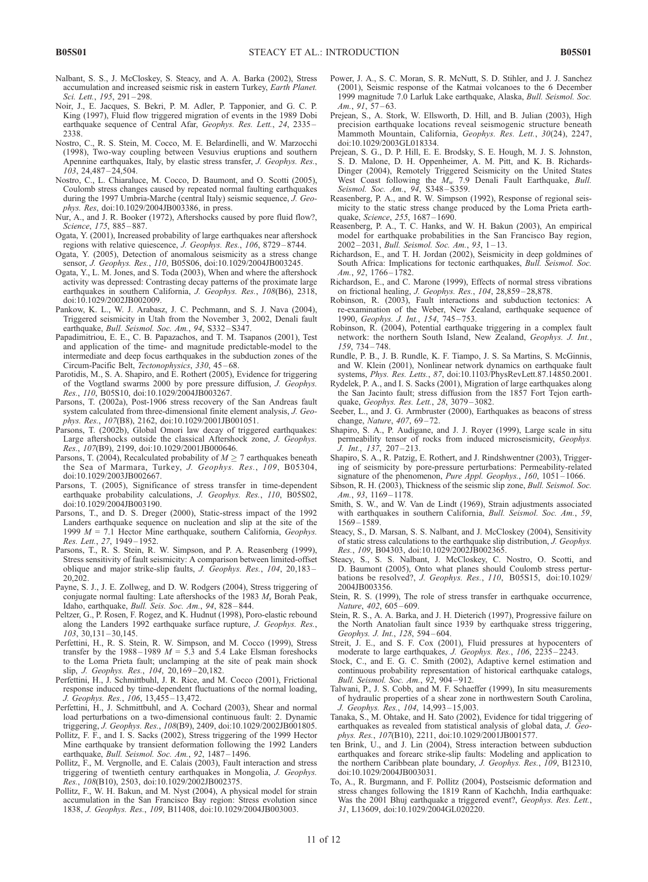- Nalbant, S. S., J. McCloskey, S. Steacy, and A. A. Barka (2002), Stress accumulation and increased seismic risk in eastern Turkey, Earth Planet. Sci. Lett., 195, 291-298.
- Noir, J., E. Jacques, S. Bekri, P. M. Adler, P. Tapponier, and G. C. P. King (1997), Fluid flow triggered migration of events in the 1989 Dobi earthquake sequence of Central Afar, Geophys. Res. Lett., 24, 2335-2338.
- Nostro, C., R. S. Stein, M. Cocco, M. E. Belardinelli, and W. Marzocchi (1998), Two-way coupling between Vesuvius eruptions and southern Apennine earthquakes, Italy, by elastic stress transfer, J. Geophys. Res.,  $103, 24,487 - 24,504.$
- Nostro, C., L. Chiaraluce, M. Cocco, D. Baumont, and O. Scotti (2005), Coulomb stress changes caused by repeated normal faulting earthquakes during the 1997 Umbria-Marche (central Italy) seismic sequence, J. Geophys. Res, doi:10.1029/2004JB003386, in press.
- Nur, A., and J. R. Booker (1972), Aftershocks caused by pore fluid flow?, Science, 175, 885-887.
- Ogata, Y. (2001), Increased probability of large earthquakes near aftershock regions with relative quiescence, J. Geophys. Res., 106, 8729-8744.
- Ogata, Y. (2005), Detection of anomalous seismicity as a stress change sensor, J. Geophys. Res., 110, B05S06, doi:10.1029/2004JB003245.
- Ogata, Y., L. M. Jones, and S. Toda (2003), When and where the aftershock activity was depressed: Contrasting decay patterns of the proximate large earthquakes in southern California, J. Geophys. Res., 108(B6), 2318, doi:10.1029/2002JB002009.
- Pankow, K. L., W. J. Arabasz, J. C. Pechmann, and S. J. Nava (2004), Triggered seismicity in Utah from the November 3, 2002, Denali fault earthquake, Bull. Seismol. Soc. Am., 94, S332-S347.
- Papadimitriou, E. E., C. B. Papazachos, and T. M. Tsapanos (2001), Test and application of the time- and magnitude predictable-model to the intermediate and deep focus earthquakes in the subduction zones of the Circum-Pacific Belt, Tectonophysics, 330, 45 – 68.
- Parotidis, M., S. A. Shapiro, and E. Rothert (2005), Evidence for triggering of the Vogtland swarms 2000 by pore pressure diffusion, J. Geophys. Res., 110, B05S10, doi:10.1029/2004JB003267.
- Parsons, T. (2002a), Post-1906 stress recovery of the San Andreas fault system calculated from three-dimensional finite element analysis, J. Geophys. Res., 107(B8), 2162, doi:10.1029/2001JB001051.
- Parsons, T. (2002b), Global Omori law decay of triggered earthquakes: Large aftershocks outside the classical Aftershock zone, J. Geophys. Res., 107(B9), 2199, doi:10.1029/2001JB000646.
- Parsons, T. (2004), Recalculated probability of  $M \ge 7$  earthquakes beneath the Sea of Marmara, Turkey, J. Geophys. Res., 109, B05304, doi:10.1029/2003JB002667.
- Parsons, T. (2005), Significance of stress transfer in time-dependent earthquake probability calculations, J. Geophys. Res., 110, B05S02, doi:10.1029/2004JB003190.
- Parsons, T., and D. S. Dreger (2000), Static-stress impact of the 1992 Landers earthquake sequence on nucleation and slip at the site of the 1999  $M = 7.1$  Hector Mine earthquake, southern California, Geophys. Res. Lett., 27, 1949 – 1952.
- Parsons, T., R. S. Stein, R. W. Simpson, and P. A. Reasenberg (1999), Stress sensitivity of fault seismicity: A comparison between limited-offset oblique and major strike-slip faults, J. Geophys. Res., 104, 20,183 – 20,202.
- Payne, S. J., J. E. Zollweg, and D. W. Rodgers (2004), Stress triggering of conjugate normal faulting: Late aftershocks of the 1983  $M_s$  Borah Peak, Idaho, earthquake, Bull. Seis. Soc. Am., 94, 828 – 844.
- Peltzer, G., P. Rosen, F. Rogez, and K. Hudnut (1998), Poro-elastic rebound along the Landers 1992 earthquake surface rupture, J. Geophys. Res.,  $103, 30, 131 - 30, 145.$
- Perfettini, H., R. S. Stein, R. W. Simpson, and M. Cocco (1999), Stress transfer by the 1988–1989  $M = 5.\overline{3}$  and 5.4 Lake Elsman foreshocks to the Loma Prieta fault; unclamping at the site of peak main shock slip, J. Geophys. Res., 104, 20,169-20,182.
- Perfettini, H., J. Schmittbuhl, J. R. Rice, and M. Cocco (2001), Frictional response induced by time-dependent fluctuations of the normal loading, J. Geophys. Res., 106, 13,455 – 13,472.
- Perfettini, H., J. Schmittbuhl, and A. Cochard (2003), Shear and normal load perturbations on a two-dimensional continuous fault: 2. Dynamic triggering, J. Geophys. Res., 108(B9), 2409, doi:10.1029/2002JB001805.
- Pollitz, F. F., and I. S. Sacks (2002), Stress triggering of the 1999 Hector Mine earthquake by transient deformation following the 1992 Landers earthquake, *Bull. Seismol. Soc. Am.*, 92, 1487-1496.
- Pollitz, F., M. Vergnolle, and E. Calais (2003), Fault interaction and stress triggering of twentieth century earthquakes in Mongolia, J. Geophys. Res., 108(B10), 2503, doi:10.1029/2002JB002375.
- Pollitz, F., W. H. Bakun, and M. Nyst (2004), A physical model for strain accumulation in the San Francisco Bay region: Stress evolution since 1838, J. Geophys. Res., 109, B11408, doi:10.1029/2004JB003003.
- Power, J. A., S. C. Moran, S. R. McNutt, S. D. Stihler, and J. J. Sanchez (2001), Seismic response of the Katmai volcanoes to the 6 December 1999 magnitude 7.0 Larluk Lake earthquake, Alaska, Bull. Seismol. Soc.  $Am., 91, 57-63.$
- Prejean, S., A. Stork, W. Ellsworth, D. Hill, and B. Julian (2003), High precision earthquake locations reveal seismogenic structure beneath Mammoth Mountain, California, Geophys. Res. Lett., 30(24), 2247, doi:10.1029/2003GL018334.
- Prejean, S. G., D. P. Hill, E. E. Brodsky, S. E. Hough, M. J. S. Johnston, S. D. Malone, D. H. Oppenheimer, A. M. Pitt, and K. B. Richards-Dinger (2004), Remotely Triggered Seismicity on the United States West Coast following the  $\widetilde{M_w}$  7.9 Denali Fault Earthquake, Bull. Seismol. Soc. Am., 94, S348-S359.
- Reasenberg, P. A., and R. W. Simpson (1992), Response of regional seismicity to the static stress change produced by the Loma Prieta earthquake, Science, 255, 1687 – 1690.
- Reasenberg, P. A., T. C. Hanks, and W. H. Bakun (2003), An empirical model for earthquake probabilities in the San Francisco Bay region, 2002 – 2031, Bull. Seismol. Soc. Am., 93, 1 – 13.
- Richardson, E., and T. H. Jordan (2002), Seismicity in deep goldmines of South Africa: Implications for tectonic earthquakes, Bull. Seismol. Soc. Am., 92, 1766 – 1782.
- Richardson, E., and C. Marone (1999), Effects of normal stress vibrations on frictional healing, *J. Geophys. Res.*, 104, 28,859-28,878.
- Robinson, R. (2003), Fault interactions and subduction tectonics: A re-examination of the Weber, New Zealand, earthquake sequence of 1990, Geophys. J. Int., 154, 745 – 753.
- Robinson, R. (2004), Potential earthquake triggering in a complex fault network: the northern South Island, New Zealand, Geophys. J. Int., 159, 734 – 748.
- Rundle, P. B., J. B. Rundle, K. F. Tiampo, J. S. Sa Martins, S. McGinnis, and W. Klein (2001), Nonlinear network dynamics on earthquake fault systems, Phys. Res. Letts., 87, doi:10.1103/PhysRevLett.87.14850.2001.
- Rydelek, P. A., and I. S. Sacks (2001), Migration of large earthquakes along the San Jacinto fault; stress diffusion from the 1857 Fort Tejon earthquake, Geophys. Res. Lett., 28, 3079 – 3082.
- Seeber, L., and J. G. Armbruster (2000), Earthquakes as beacons of stress change, Nature, 407, 69-72.
- Shapiro, S. A., P. Audigane, and J. J. Royer (1999), Large scale in situ permeability tensor of rocks from induced microseismicity, Geophys. J. Int., 137, 207 – 213.
- Shapiro, S. A., R. Patzig, E. Rothert, and J. Rindshwentner (2003), Triggering of seismicity by pore-pressure perturbations: Permeability-related signature of the phenomenon, Pure Appl. Geophys., 160, 1051-1066.
- Sibson, R. H. (2003), Thickness of the seismic slip zone, Bull. Seismol. Soc. Am., 93, 1169-1178.
- Smith, S. W., and W. Van de Lindt (1969), Strain adjustments associated with earthquakes in southern California, Bull. Seismol. Soc. Am., 59, 1569 – 1589.
- Steacy, S., D. Marsan, S. S. Nalbant, and J. McCloskey (2004), Sensitivity of static stress calculations to the earthquake slip distribution, J. Geophys. Res., 109, B04303, doi:10.1029/2002JB002365.
- Steacy, S., S. S. Nalbant, J. McCloskey, C. Nostro, O. Scotti, and D. Baumont (2005), Onto what planes should Coulomb stress perturbations be resolved?, J. Geophys. Res., *110*, B05S15, doi:10.1029/ 2004JB003356.
- Stein, R. S. (1999), The role of stress transfer in earthquake occurrence, Nature, 402, 605-609.
- Stein, R. S., A. A. Barka, and J. H. Dieterich (1997), Progressive failure on the North Anatolian fault since 1939 by earthquake stress triggering, Geophys. J. Int., 128, 594 – 604.
- Streit, J. E., and S. F. Cox (2001), Fluid pressures at hypocenters of moderate to large earthquakes, J. Geophys. Res., 106, 2235 – 2243.
- Stock, C., and E. G. C. Smith (2002), Adaptive kernel estimation and continuous probability representation of historical earthquake catalogs, Bull. Seismol. Soc. Am., 92, 904-912.
- Talwani, P., J. S. Cobb, and M. F. Schaeffer (1999), In situ measurements of hydraulic properties of a shear zone in northwestern South Carolina, J. Geophys. Res., 104, 14,993 – 15,003.
- Tanaka, S., M. Ohtake, and H. Sato (2002), Evidence for tidal triggering of earthquakes as revealed from statistical analysis of global data, J. Geophys. Res., 107(B10), 2211, doi:10.1029/2001JB001577.
- ten Brink, U., and J. Lin (2004), Stress interaction between subduction earthquakes and forearc strike-slip faults: Modeling and application to the northern Caribbean plate boundary, J. Geophys. Res., 109, B12310, doi:10.1029/2004JB003031.
- To, A., R. Burgmann, and F. Pollitz (2004), Postseismic deformation and stress changes following the 1819 Rann of Kachchh, India earthquake: Was the 2001 Bhuj earthquake a triggered event?, Geophys. Res. Lett., 31, L13609, doi:10.1029/2004GL020220.